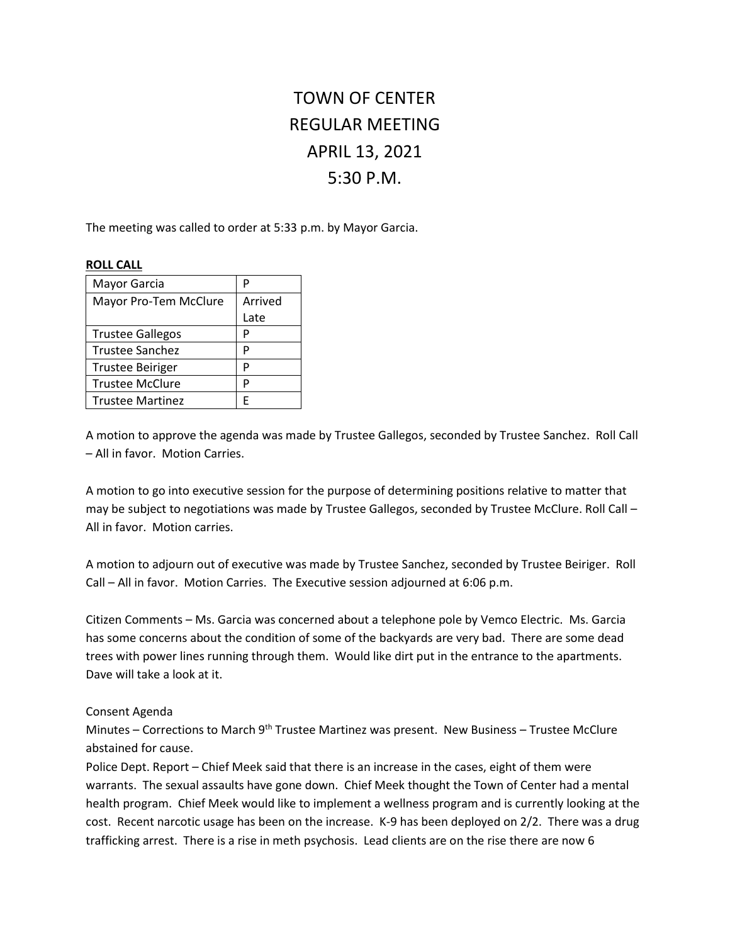# TOWN OF CENTER REGULAR MEETING APRIL 13, 2021 5:30 P.M.

The meeting was called to order at 5:33 p.m. by Mayor Garcia.

#### **ROLL CALL**

| Mayor Garcia            | P       |
|-------------------------|---------|
| Mayor Pro-Tem McClure   | Arrived |
|                         | Late    |
| <b>Trustee Gallegos</b> | P       |
| <b>Trustee Sanchez</b>  | P       |
| <b>Trustee Beiriger</b> | P       |
| <b>Trustee McClure</b>  | P       |
| <b>Trustee Martinez</b> | F       |

A motion to approve the agenda was made by Trustee Gallegos, seconded by Trustee Sanchez. Roll Call – All in favor. Motion Carries.

A motion to go into executive session for the purpose of determining positions relative to matter that may be subject to negotiations was made by Trustee Gallegos, seconded by Trustee McClure. Roll Call – All in favor. Motion carries.

A motion to adjourn out of executive was made by Trustee Sanchez, seconded by Trustee Beiriger. Roll Call – All in favor. Motion Carries. The Executive session adjourned at 6:06 p.m.

Citizen Comments – Ms. Garcia was concerned about a telephone pole by Vemco Electric. Ms. Garcia has some concerns about the condition of some of the backyards are very bad. There are some dead trees with power lines running through them. Would like dirt put in the entrance to the apartments. Dave will take a look at it.

# Consent Agenda

Minutes – Corrections to March 9<sup>th</sup> Trustee Martinez was present. New Business – Trustee McClure abstained for cause.

Police Dept. Report – Chief Meek said that there is an increase in the cases, eight of them were warrants. The sexual assaults have gone down. Chief Meek thought the Town of Center had a mental health program. Chief Meek would like to implement a wellness program and is currently looking at the cost. Recent narcotic usage has been on the increase. K-9 has been deployed on 2/2. There was a drug trafficking arrest. There is a rise in meth psychosis. Lead clients are on the rise there are now 6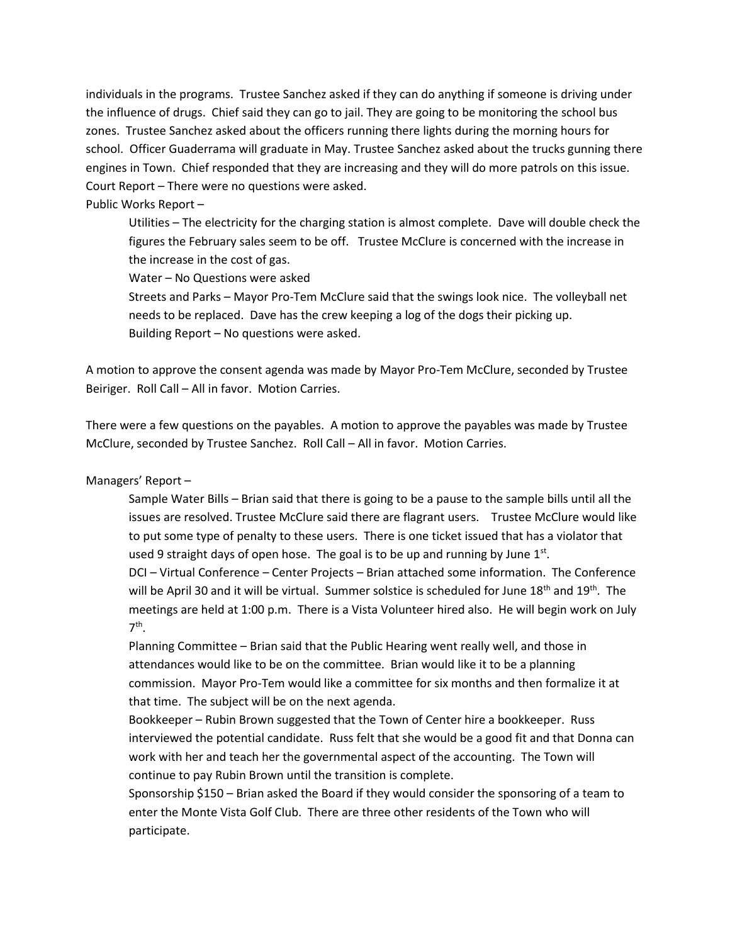individuals in the programs. Trustee Sanchez asked if they can do anything if someone is driving under the influence of drugs. Chief said they can go to jail. They are going to be monitoring the school bus zones. Trustee Sanchez asked about the officers running there lights during the morning hours for school. Officer Guaderrama will graduate in May. Trustee Sanchez asked about the trucks gunning there engines in Town. Chief responded that they are increasing and they will do more patrols on this issue. Court Report – There were no questions were asked.

### Public Works Report –

Utilities – The electricity for the charging station is almost complete. Dave will double check the figures the February sales seem to be off. Trustee McClure is concerned with the increase in the increase in the cost of gas.

Water – No Questions were asked

Streets and Parks – Mayor Pro-Tem McClure said that the swings look nice. The volleyball net needs to be replaced. Dave has the crew keeping a log of the dogs their picking up. Building Report – No questions were asked.

A motion to approve the consent agenda was made by Mayor Pro-Tem McClure, seconded by Trustee Beiriger. Roll Call – All in favor. Motion Carries.

There were a few questions on the payables. A motion to approve the payables was made by Trustee McClure, seconded by Trustee Sanchez. Roll Call – All in favor. Motion Carries.

# Managers' Report –

Sample Water Bills – Brian said that there is going to be a pause to the sample bills until all the issues are resolved. Trustee McClure said there are flagrant users. Trustee McClure would like to put some type of penalty to these users. There is one ticket issued that has a violator that used 9 straight days of open hose. The goal is to be up and running by June  $1<sup>st</sup>$ . DCI – Virtual Conference – Center Projects – Brian attached some information. The Conference will be April 30 and it will be virtual. Summer solstice is scheduled for June 18<sup>th</sup> and 19<sup>th</sup>. The meetings are held at 1:00 p.m. There is a Vista Volunteer hired also. He will begin work on July 7 th .

Planning Committee – Brian said that the Public Hearing went really well, and those in attendances would like to be on the committee. Brian would like it to be a planning commission. Mayor Pro-Tem would like a committee for six months and then formalize it at that time. The subject will be on the next agenda.

Bookkeeper – Rubin Brown suggested that the Town of Center hire a bookkeeper. Russ interviewed the potential candidate. Russ felt that she would be a good fit and that Donna can work with her and teach her the governmental aspect of the accounting. The Town will continue to pay Rubin Brown until the transition is complete.

Sponsorship \$150 – Brian asked the Board if they would consider the sponsoring of a team to enter the Monte Vista Golf Club. There are three other residents of the Town who will participate.